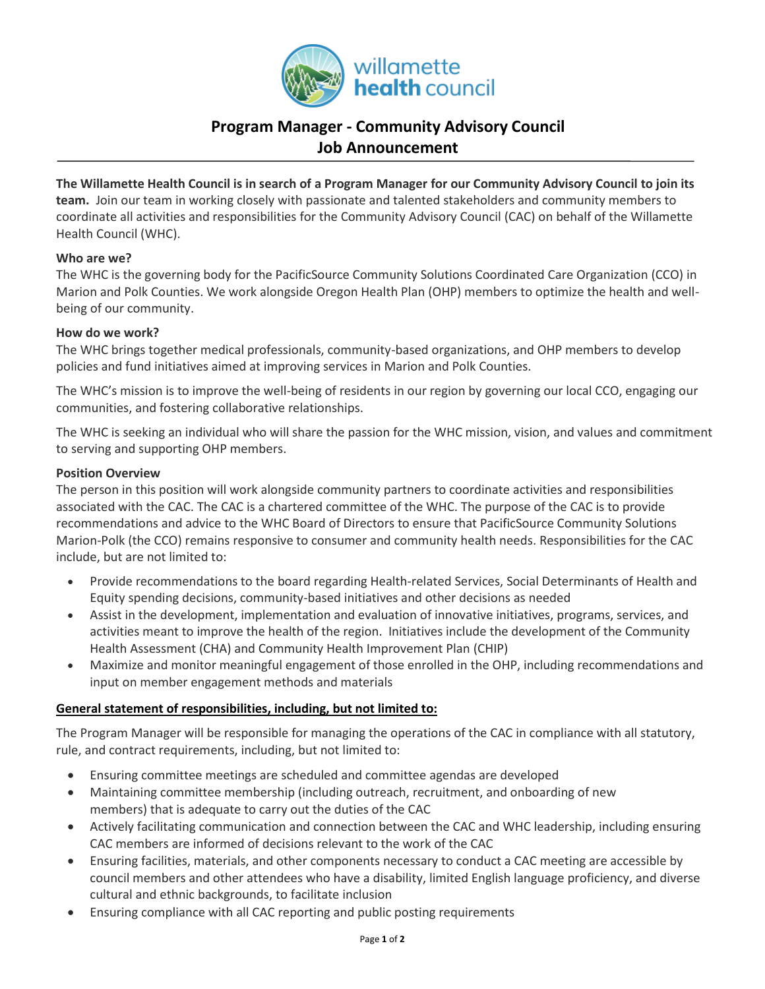

# **Program Manager - Community Advisory Council Job Announcement**

**The Willamette Health Council is in search of a Program Manager for our Community Advisory Council to join its team.** Join our team in working closely with passionate and talented stakeholders and community members to coordinate all activities and responsibilities for the Community Advisory Council (CAC) on behalf of the Willamette Health Council (WHC).

#### **Who are we?**

The WHC is the governing body for the PacificSource Community Solutions Coordinated Care Organization (CCO) in Marion and Polk Counties. We work alongside Oregon Health Plan (OHP) members to optimize the health and wellbeing of our community.

## **How do we work?**

The WHC brings together medical professionals, community-based organizations, and OHP members to develop policies and fund initiatives aimed at improving services in Marion and Polk Counties.

The WHC's mission is to improve the well-being of residents in our region by governing our local CCO, engaging our communities, and fostering collaborative relationships.

The WHC is seeking an individual who will share the passion for the WHC mission, vision, and values and commitment to serving and supporting OHP members.

## **Position Overview**

The person in this position will work alongside community partners to coordinate activities and responsibilities associated with the CAC. The CAC is a chartered committee of the WHC. The purpose of the CAC is to provide recommendations and advice to the WHC Board of Directors to ensure that PacificSource Community Solutions Marion-Polk (the CCO) remains responsive to consumer and community health needs. Responsibilities for the CAC include, but are not limited to:

- Provide recommendations to the board regarding Health-related Services, Social Determinants of Health and Equity spending decisions, community-based initiatives and other decisions as needed
- Assist in the development, implementation and evaluation of innovative initiatives, programs, services, and activities meant to improve the health of the region. Initiatives include the development of the Community Health Assessment (CHA) and Community Health Improvement Plan (CHIP)
- Maximize and monitor meaningful engagement of those enrolled in the OHP, including recommendations and input on member engagement methods and materials

# **General statement of responsibilities, including, but not limited to:**

The Program Manager will be responsible for managing the operations of the CAC in compliance with all statutory, rule, and contract requirements, including, but not limited to:

- Ensuring committee meetings are scheduled and committee agendas are developed
- Maintaining committee membership (including outreach, recruitment, and onboarding of new members) that is adequate to carry out the duties of the CAC
- Actively facilitating communication and connection between the CAC and WHC leadership, including ensuring CAC members are informed of decisions relevant to the work of the CAC
- Ensuring facilities, materials, and other components necessary to conduct a CAC meeting are accessible by council members and other attendees who have a disability, limited English language proficiency, and diverse cultural and ethnic backgrounds, to facilitate inclusion
- Ensuring compliance with all CAC reporting and public posting requirements